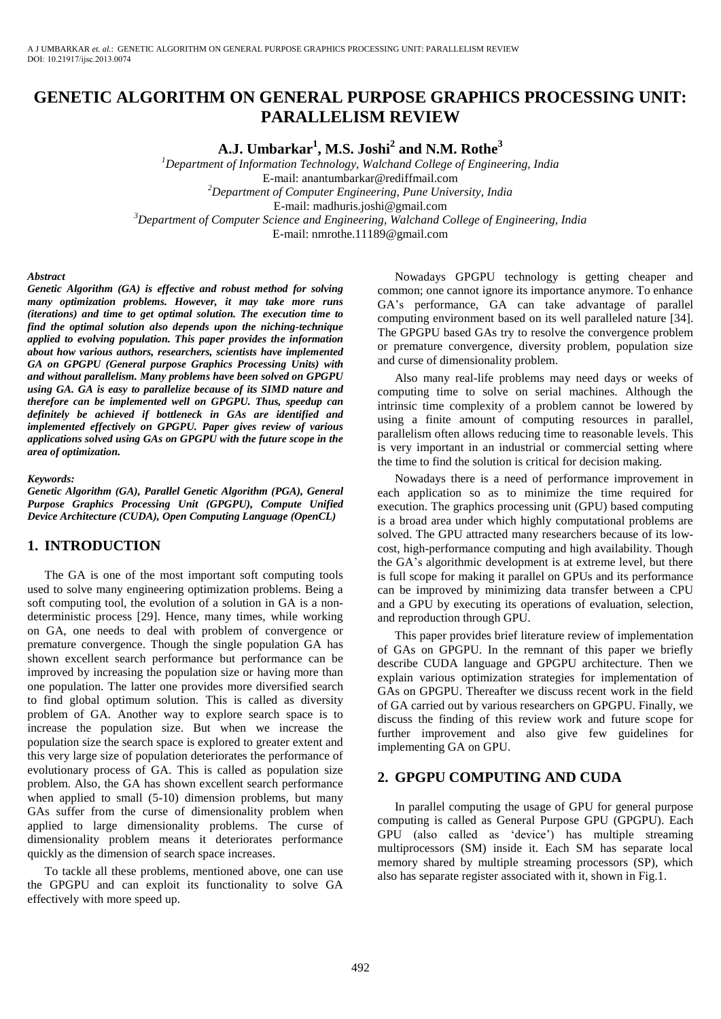# **GENETIC ALGORITHM ON GENERAL PURPOSE GRAPHICS PROCESSING UNIT: PARALLELISM REVIEW**

**A.J. Umbarkar<sup>1</sup> , M.S. Joshi<sup>2</sup> and N.M. Rothe<sup>3</sup>**

*<sup>1</sup>Department of Information Technology, Walchand College of Engineering, India*  E-mail: anantumbarkar@rediffmail.com *<sup>2</sup>Department of Computer Engineering, Pune University, India*  E-mail: madhuris.joshi@gmail.com *<sup>3</sup>Department of Computer Science and Engineering, Walchand College of Engineering, India*  E-mail[: nmrothe.11189@gmail.com](mailto:nmrothe.11189@gmail.com)

#### *Abstract*

*Genetic Algorithm (GA) is effective and robust method for solving many optimization problems. However, it may take more runs (iterations) and time to get optimal solution. The execution time to find the optimal solution also depends upon the niching-technique applied to evolving population. This paper provides the information about how various authors, researchers, scientists have implemented GA on GPGPU (General purpose Graphics Processing Units) with and without parallelism. Many problems have been solved on GPGPU using GA. GA is easy to parallelize because of its SIMD nature and therefore can be implemented well on GPGPU. Thus, speedup can definitely be achieved if bottleneck in GAs are identified and implemented effectively on GPGPU. Paper gives review of various applications solved using GAs on GPGPU with the future scope in the area of optimization.* 

#### *Keywords:*

*Genetic Algorithm (GA), Parallel Genetic Algorithm (PGA), General Purpose Graphics Processing Unit (GPGPU), Compute Unified Device Architecture (CUDA), Open Computing Language (OpenCL)* 

# **1. INTRODUCTION**

The GA is one of the most important soft computing tools used to solve many engineering optimization problems. Being a soft computing tool, the evolution of a solution in GA is a nondeterministic process [29]. Hence, many times, while working on GA, one needs to deal with problem of convergence or premature convergence. Though the single population GA has shown excellent search performance but performance can be improved by increasing the population size or having more than one population. The latter one provides more diversified search to find global optimum solution. This is called as diversity problem of GA. Another way to explore search space is to increase the population size. But when we increase the population size the search space is explored to greater extent and this very large size of population deteriorates the performance of evolutionary process of GA. This is called as population size problem. Also, the GA has shown excellent search performance when applied to small (5-10) dimension problems, but many GAs suffer from the curse of dimensionality problem when applied to large dimensionality problems. The curse of dimensionality problem means it deteriorates performance quickly as the dimension of search space increases.

To tackle all these problems, mentioned above, one can use the GPGPU and can exploit its functionality to solve GA effectively with more speed up.

Nowadays GPGPU technology is getting cheaper and common; one cannot ignore its importance anymore. To enhance GA's performance, GA can take advantage of parallel computing environment based on its well paralleled nature [34]. The GPGPU based GAs try to resolve the convergence problem or premature convergence, diversity problem, population size and curse of dimensionality problem.

Also many real-life problems may need days or weeks of computing time to solve on serial machines. Although the intrinsic time complexity of a problem cannot be lowered by using a finite amount of computing resources in parallel, parallelism often allows reducing time to reasonable levels. This is very important in an industrial or commercial setting where the time to find the solution is critical for decision making.

Nowadays there is a need of performance improvement in each application so as to minimize the time required for execution. The graphics processing unit (GPU) based computing is a broad area under which highly computational problems are solved. The GPU attracted many researchers because of its lowcost, high-performance computing and high availability. Though the GA's algorithmic development is at extreme level, but there is full scope for making it parallel on GPUs and its performance can be improved by minimizing data transfer between a CPU and a GPU by executing its operations of evaluation, selection, and reproduction through GPU.

This paper provides brief literature review of implementation of GAs on GPGPU. In the remnant of this paper we briefly describe CUDA language and GPGPU architecture. Then we explain various optimization strategies for implementation of GAs on GPGPU. Thereafter we discuss recent work in the field of GA carried out by various researchers on GPGPU. Finally, we discuss the finding of this review work and future scope for further improvement and also give few guidelines for implementing GA on GPU.

# **2. GPGPU COMPUTING AND CUDA**

In parallel computing the usage of GPU for general purpose computing is called as General Purpose GPU (GPGPU). Each GPU (also called as 'device') has multiple streaming multiprocessors (SM) inside it. Each SM has separate local memory shared by multiple streaming processors (SP), which also has separate register associated with it, shown in Fig.1.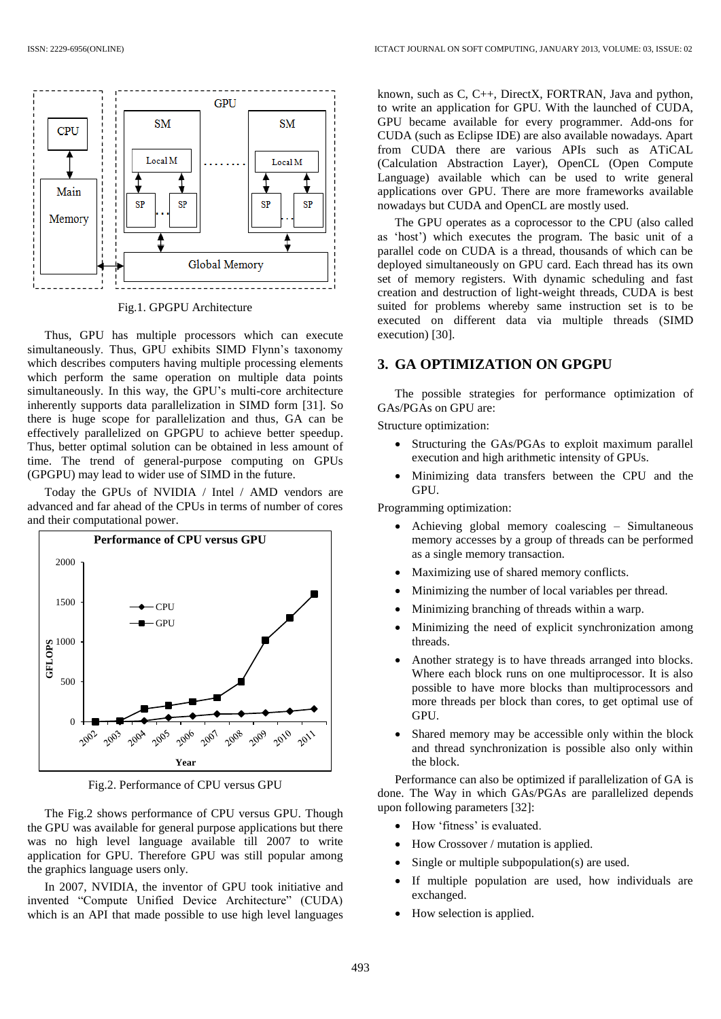

Fig.1. GPGPU Architecture

Thus, GPU has multiple processors which can execute simultaneously. Thus, GPU exhibits SIMD Flynn's taxonomy which describes computers having multiple processing elements which perform the same operation on multiple data points simultaneously. In this way, the GPU's multi-core architecture inherently supports data parallelization in SIMD form [31]. So there is huge scope for parallelization and thus, GA can be effectively parallelized on GPGPU to achieve better speedup. Thus, better optimal solution can be obtained in less amount of time. The trend of general-purpose computing on GPUs (GPGPU) may lead to wider use of SIMD in the future.

Today the GPUs of NVIDIA / Intel / AMD vendors are advanced and far ahead of the CPUs in terms of number of cores and their computational power.



Fig.2. Performance of CPU versus GPU

The Fig.2 shows performance of CPU versus GPU. Though the GPU was available for general purpose applications but there was no high level language available till 2007 to write application for GPU. Therefore GPU was still popular among the graphics language users only.

In 2007, NVIDIA, the inventor of GPU took initiative and invented "Compute Unified Device Architecture" (CUDA) which is an API that made possible to use high level languages known, such as C, C++, DirectX, FORTRAN, Java and python, to write an application for GPU. With the launched of CUDA, GPU became available for every programmer. Add-ons for CUDA (such as Eclipse IDE) are also available nowadays. Apart from CUDA there are various APIs such as ATiCAL (Calculation Abstraction Layer), OpenCL (Open Compute Language) available which can be used to write general applications over GPU. There are more frameworks available nowadays but CUDA and OpenCL are mostly used.

The GPU operates as a coprocessor to the CPU (also called as 'host') which executes the program. The basic unit of a parallel code on CUDA is a thread, thousands of which can be deployed simultaneously on GPU card. Each thread has its own set of memory registers. With dynamic scheduling and fast creation and destruction of light-weight threads, CUDA is best suited for problems whereby same instruction set is to be executed on different data via multiple threads (SIMD execution) [30].

# **3. GA OPTIMIZATION ON GPGPU**

The possible strategies for performance optimization of GAs/PGAs on GPU are:

Structure optimization:

- Structuring the GAs/PGAs to exploit maximum parallel execution and high arithmetic intensity of GPUs.
- Minimizing data transfers between the CPU and the GPU.

Programming optimization:

- Achieving global memory coalescing Simultaneous memory accesses by a group of threads can be performed as a single memory transaction.
- Maximizing use of shared memory conflicts.
- Minimizing the number of local variables per thread.
- Minimizing branching of threads within a warp.
- Minimizing the need of explicit synchronization among threads.
- Another strategy is to have threads arranged into blocks. Where each block runs on one multiprocessor. It is also possible to have more blocks than multiprocessors and more threads per block than cores, to get optimal use of GPU.
- Shared memory may be accessible only within the block and thread synchronization is possible also only within the block.

Performance can also be optimized if parallelization of GA is done. The Way in which GAs/PGAs are parallelized depends upon following parameters [32]:

- How 'fitness' is evaluated.
- How Crossover / mutation is applied.
- Single or multiple subpopulation(s) are used.
- If multiple population are used, how individuals are exchanged.
- How selection is applied.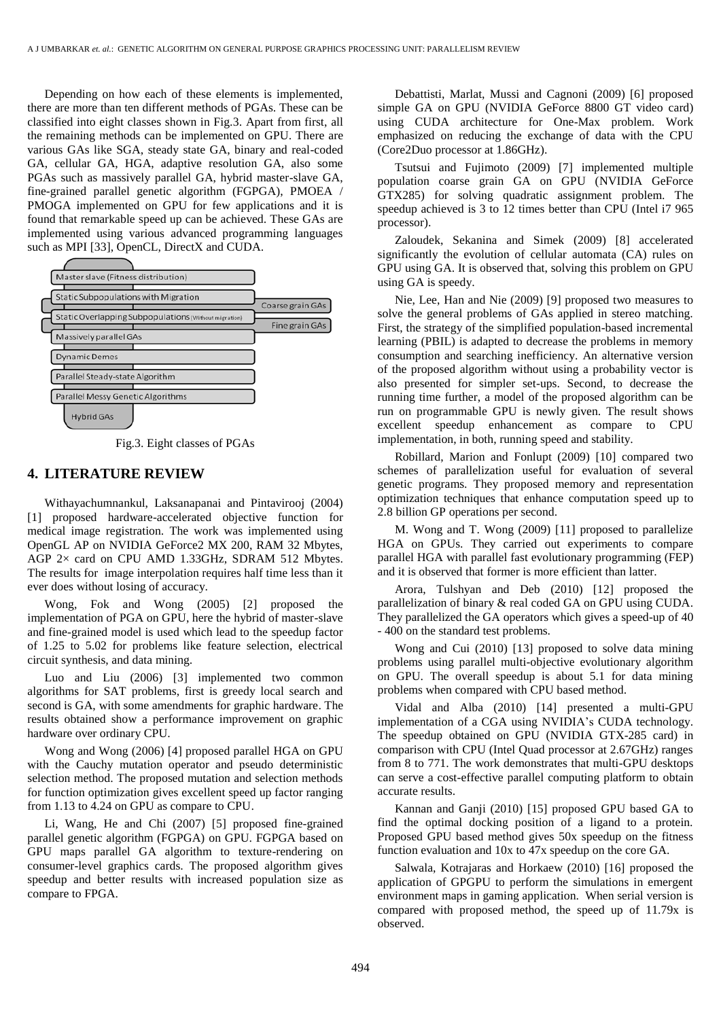Depending on how each of these elements is implemented, there are more than ten different methods of PGAs. These can be classified into eight classes shown in Fig.3. Apart from first, all the remaining methods can be implemented on GPU. There are various GAs like SGA, steady state GA, binary and real-coded GA, cellular GA, HGA, adaptive resolution GA, also some PGAs such as massively parallel GA, hybrid master-slave GA, fine-grained parallel genetic algorithm (FGPGA), PMOEA / PMOGA implemented on GPU for few applications and it is found that remarkable speed up can be achieved. These GAs are implemented using various advanced programming languages such as MPI [33], OpenCL, DirectX and CUDA.



Fig.3. Eight classes of PGAs

## **4. LITERATURE REVIEW**

Withayachumnankul, Laksanapanai and Pintavirooj (2004) [1] proposed hardware-accelerated objective function for medical image registration. The work was implemented using OpenGL AP on NVIDIA GeForce2 MX 200, RAM 32 Mbytes, AGP 2× card on CPU AMD 1.33GHz, SDRAM 512 Mbytes. The results for image interpolation requires half time less than it ever does without losing of accuracy.

Wong, Fok and Wong (2005) [2] proposed the implementation of PGA on GPU, here the hybrid of master-slave and fine-grained model is used which lead to the speedup factor of 1.25 to 5.02 for problems like feature selection, electrical circuit synthesis, and data mining.

Luo and Liu (2006) [3] implemented two common algorithms for SAT problems, first is greedy local search and second is GA, with some amendments for graphic hardware. The results obtained show a performance improvement on graphic hardware over ordinary CPU.

Wong and Wong (2006) [4] proposed parallel HGA on GPU with the Cauchy mutation operator and pseudo deterministic selection method. The proposed mutation and selection methods for function optimization gives excellent speed up factor ranging from 1.13 to 4.24 on GPU as compare to CPU.

Li, Wang, He and Chi (2007) [5] proposed fine-grained parallel genetic algorithm (FGPGA) on GPU. FGPGA based on GPU maps parallel GA algorithm to texture-rendering on consumer-level graphics cards. The proposed algorithm gives speedup and better results with increased population size as compare to FPGA.

Debattisti, Marlat, Mussi and Cagnoni (2009) [6] proposed simple GA on GPU (NVIDIA GeForce 8800 GT video card) using CUDA architecture for One-Max problem. Work emphasized on reducing the exchange of data with the CPU (Core2Duo processor at 1.86GHz).

Tsutsui and Fujimoto (2009) [7] implemented multiple population coarse grain GA on GPU (NVIDIA GeForce GTX285) for solving quadratic assignment problem. The speedup achieved is 3 to 12 times better than CPU (Intel i7 965 processor).

Zaloudek, Sekanina and Simek (2009) [8] accelerated significantly the evolution of cellular automata (CA) rules on GPU using GA. It is observed that, solving this problem on GPU using GA is speedy.

Nie, Lee, Han and Nie (2009) [9] proposed two measures to solve the general problems of GAs applied in stereo matching. First, the strategy of the simplified population-based incremental learning (PBIL) is adapted to decrease the problems in memory consumption and searching inefficiency. An alternative version of the proposed algorithm without using a probability vector is also presented for simpler set-ups. Second, to decrease the running time further, a model of the proposed algorithm can be run on programmable GPU is newly given. The result shows excellent speedup enhancement as compare to CPU implementation, in both, running speed and stability.

Robillard, Marion and Fonlupt (2009) [10] compared two schemes of parallelization useful for evaluation of several genetic programs. They proposed memory and representation optimization techniques that enhance computation speed up to 2.8 billion GP operations per second.

M. Wong and T. Wong (2009) [11] proposed to parallelize HGA on GPUs. They carried out experiments to compare parallel HGA with parallel fast evolutionary programming (FEP) and it is observed that former is more efficient than latter.

Arora, Tulshyan and Deb (2010) [12] proposed the parallelization of binary & real coded GA on GPU using CUDA. They parallelized the GA operators which gives a speed-up of 40 - 400 on the standard test problems.

Wong and Cui (2010) [13] proposed to solve data mining problems using parallel multi-objective evolutionary algorithm on GPU. The overall speedup is about 5.1 for data mining problems when compared with CPU based method.

Vidal and Alba (2010) [14] presented a multi-GPU implementation of a CGA using NVIDIA's CUDA technology. The speedup obtained on GPU (NVIDIA GTX-285 card) in comparison with CPU (Intel Quad processor at 2.67GHz) ranges from 8 to 771. The work demonstrates that multi-GPU desktops can serve a cost-effective parallel computing platform to obtain accurate results.

Kannan and Ganji (2010) [15] proposed GPU based GA to find the optimal docking position of a ligand to a protein. Proposed GPU based method gives 50x speedup on the fitness function evaluation and 10x to 47x speedup on the core GA.

Salwala, Kotrajaras and Horkaew (2010) [16] proposed the application of GPGPU to perform the simulations in emergent environment maps in gaming application. When serial version is compared with proposed method, the speed up of 11.79x is observed.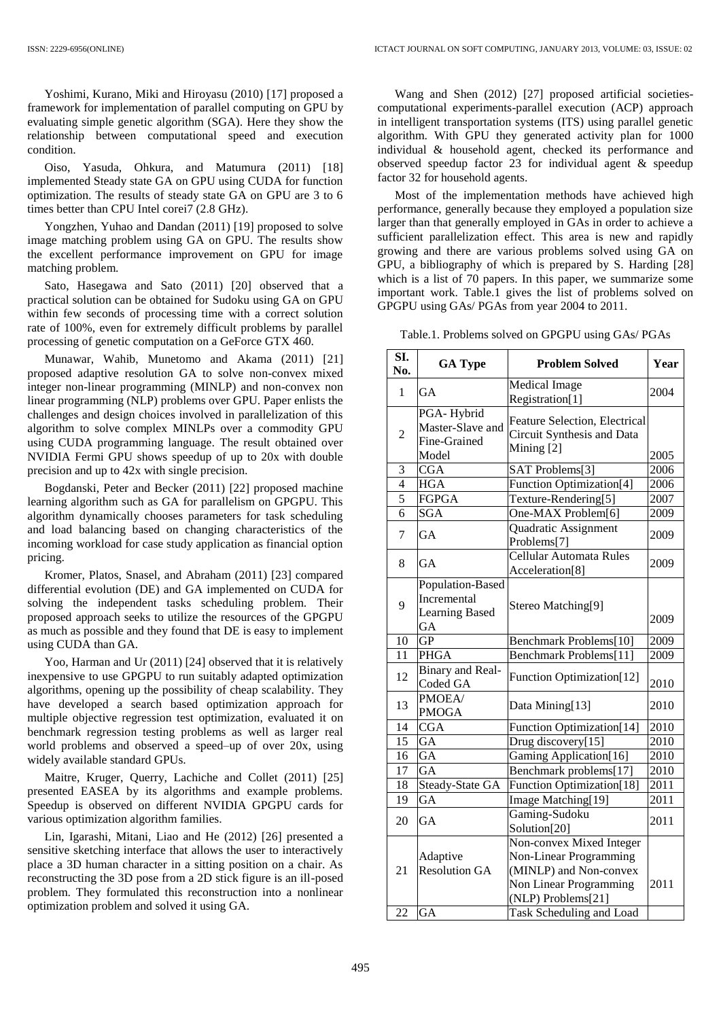Yoshimi, Kurano, Miki and Hiroyasu (2010) [17] proposed a framework for implementation of parallel computing on GPU by evaluating simple genetic algorithm (SGA). Here they show the relationship between computational speed and execution condition.

Oiso, Yasuda, Ohkura, and Matumura (2011) [18] implemented Steady state GA on GPU using CUDA for function optimization. The results of steady state GA on GPU are 3 to 6 times better than CPU Intel corei7 (2.8 GHz).

Yongzhen, Yuhao and Dandan (2011) [19] proposed to solve image matching problem using GA on GPU. The results show the excellent performance improvement on GPU for image matching problem.

Sato, Hasegawa and Sato (2011) [20] observed that a practical solution can be obtained for Sudoku using GA on GPU within few seconds of processing time with a correct solution rate of 100%, even for extremely difficult problems by parallel processing of genetic computation on a GeForce GTX 460.

Munawar, Wahib, Munetomo and Akama (2011) [21] proposed adaptive resolution GA to solve non-convex mixed integer non-linear programming (MINLP) and non-convex non linear programming (NLP) problems over GPU. Paper enlists the challenges and design choices involved in parallelization of this algorithm to solve complex MINLPs over a commodity GPU using CUDA programming language. The result obtained over NVIDIA Fermi GPU shows speedup of up to 20x with double precision and up to 42x with single precision.

Bogdanski, Peter and Becker (2011) [22] proposed machine learning algorithm such as GA for parallelism on GPGPU. This algorithm dynamically chooses parameters for task scheduling and load balancing based on changing characteristics of the incoming workload for case study application as financial option pricing.

Kromer, Platos, Snasel, and Abraham (2011) [23] compared differential evolution (DE) and GA implemented on CUDA for solving the independent tasks scheduling problem. Their proposed approach seeks to utilize the resources of the GPGPU as much as possible and they found that DE is easy to implement using CUDA than GA.

Yoo, Harman and Ur (2011) [24] observed that it is relatively inexpensive to use GPGPU to run suitably adapted optimization algorithms, opening up the possibility of cheap scalability. They have developed a search based optimization approach for multiple objective regression test optimization, evaluated it on benchmark regression testing problems as well as larger real world problems and observed a speed–up of over 20x, using widely available standard GPUs.

Maitre, Kruger, Querry, Lachiche and Collet (2011) [25] presented EASEA by its algorithms and example problems. Speedup is observed on different NVIDIA GPGPU cards for various optimization algorithm families.

Lin, Igarashi, Mitani, Liao and He (2012) [26] presented a sensitive sketching interface that allows the user to interactively place a 3D human character in a sitting position on a chair. As reconstructing the 3D pose from a 2D stick figure is an ill-posed problem. They formulated this reconstruction into a nonlinear optimization problem and solved it using GA.

Wang and Shen (2012) [27] proposed artificial societiescomputational experiments-parallel execution (ACP) approach in intelligent transportation systems (ITS) using parallel genetic algorithm. With GPU they generated activity plan for 1000 individual & household agent, checked its performance and observed speedup factor 23 for individual agent & speedup factor 32 for household agents.

Most of the implementation methods have achieved high performance, generally because they employed a population size larger than that generally employed in GAs in order to achieve a sufficient parallelization effect. This area is new and rapidly growing and there are various problems solved using GA on GPU, a bibliography of which is prepared by S. Harding [28] which is a list of 70 papers. In this paper, we summarize some important work. Table.1 gives the list of problems solved on GPGPU using GAs/ PGAs from year 2004 to 2011.

Table.1. Problems solved on GPGPU using GAs/ PGAs

| SI.<br>No.      | <b>GA Type</b>                                                 | <b>Problem Solved</b>                                                                                                                                           | Year              |
|-----------------|----------------------------------------------------------------|-----------------------------------------------------------------------------------------------------------------------------------------------------------------|-------------------|
| 1               | <b>GA</b>                                                      | Medical Image<br>Registration[1]                                                                                                                                | 2004              |
| $\overline{2}$  | PGA-Hybrid<br>Master-Slave and<br>Fine-Grained<br>Model        | Feature Selection, Electrical<br>Circuit Synthesis and Data<br>Mining <sup>[2]</sup>                                                                            | 2005              |
| 3               | <b>CGA</b>                                                     | SAT Problems[3]                                                                                                                                                 | $\overline{2006}$ |
| 4               | <b>HGA</b>                                                     | <b>Function Optimization[4]</b>                                                                                                                                 | 2006              |
| 5               | <b>FGPGA</b>                                                   | Texture-Rendering[5]                                                                                                                                            | 2007              |
| 6               | $S\overline{GA}$                                               | One-MAX Problem[6]                                                                                                                                              | 2009              |
| 7               | <b>GA</b>                                                      | Quadratic Assignment<br>Problems[7]                                                                                                                             | 2009              |
| 8               | <b>GA</b>                                                      | Cellular Automata Rules<br>Acceleration[8]                                                                                                                      | 2009              |
| 9               | Population-Based<br>Incremental<br><b>Learning Based</b><br>GA | Stereo Matching[9]                                                                                                                                              | 2009              |
| 10              | $\overline{GP}$                                                | Benchmark Problems[10]                                                                                                                                          | 2009              |
| 11              | <b>PHGA</b>                                                    | Benchmark Problems[11]                                                                                                                                          | 2009              |
| 12              | Binary and Real-<br>Coded GA                                   | <b>Function Optimization[12]</b>                                                                                                                                | 2010              |
| 13              | PMOEA/<br><b>PMOGA</b>                                         | Data Mining[13]                                                                                                                                                 | 2010              |
| $\overline{14}$ | $\overline{\text{CGA}}$                                        | <b>Function Optimization</b> [14]                                                                                                                               | 2010              |
| 15              | $G\overline{A}$                                                | Drug discovery[15]                                                                                                                                              | 2010              |
| 16              | GA                                                             | Gaming Application[16]                                                                                                                                          | $\frac{2010}{ }$  |
| 17              | $\overline{GA}$                                                | Benchmark problems[17]                                                                                                                                          | $\overline{2010}$ |
| 18              | Steady-State GA                                                | <b>Function Optimization</b> [18]                                                                                                                               | 2011              |
| 19              | GA                                                             | Image Matching[19]                                                                                                                                              | 2011              |
| 20              | <b>GA</b>                                                      | Gaming-Sudoku<br>Solution[20]                                                                                                                                   | 2011              |
| 21<br>22        | Adaptive<br><b>Resolution GA</b><br>GA                         | Non-convex Mixed Integer<br><b>Non-Linear Programming</b><br>(MINLP) and Non-convex<br>Non Linear Programming<br>(NLP) Problems[21]<br>Task Scheduling and Load | 2011              |
|                 |                                                                |                                                                                                                                                                 |                   |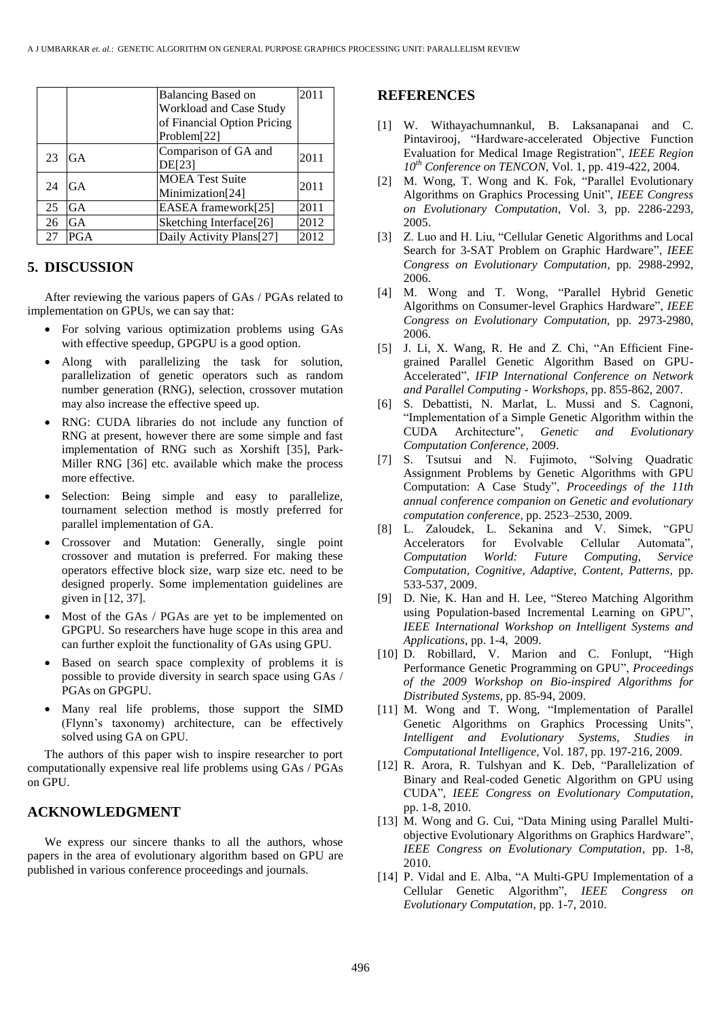|    |            | Balancing Based on                         | 2011 |
|----|------------|--------------------------------------------|------|
|    |            | Workload and Case Study                    |      |
|    |            | of Financial Option Pricing                |      |
|    |            | Problem[22]                                |      |
| 23 | GA         | Comparison of GA and<br><b>DE[23]</b>      | 2011 |
| 24 | GA         | <b>MOEA Test Suite</b><br>Minimization[24] | 2011 |
| 25 | GA         | EASEA framework[25]                        | 2011 |
| 26 | GA         | Sketching Interface[26]                    | 2012 |
| 27 | <b>PGA</b> | Daily Activity Plans[27]                   | 2012 |

## **5. DISCUSSION**

After reviewing the various papers of GAs / PGAs related to implementation on GPUs, we can say that:

- For solving various optimization problems using GAs with effective speedup, GPGPU is a good option.
- Along with parallelizing the task for solution, parallelization of genetic operators such as random number generation (RNG), selection, crossover mutation may also increase the effective speed up.
- RNG: CUDA libraries do not include any function of RNG at present, however there are some simple and fast implementation of RNG such as Xorshift [35], Park-Miller RNG [36] etc. available which make the process more effective.
- Selection: Being simple and easy to parallelize, tournament selection method is mostly preferred for parallel implementation of GA.
- Crossover and Mutation: Generally, single point crossover and mutation is preferred. For making these operators effective block size, warp size etc. need to be designed properly. Some implementation guidelines are given in [12, 37].
- Most of the GAs / PGAs are yet to be implemented on GPGPU. So researchers have huge scope in this area and can further exploit the functionality of GAs using GPU.
- Based on search space complexity of problems it is possible to provide diversity in search space using GAs / PGAs on GPGPU.
- Many real life problems, those support the SIMD (Flynn's taxonomy) architecture, can be effectively solved using GA on GPU.

The authors of this paper wish to inspire researcher to port computationally expensive real life problems using GAs / PGAs on GPU.

### **ACKNOWLEDGMENT**

We express our sincere thanks to all the authors, whose papers in the area of evolutionary algorithm based on GPU are published in various conference proceedings and journals.

#### **REFERENCES**

- [1] W. Withayachumnankul, B. Laksanapanai and C. Pintavirooj, "Hardware-accelerated Objective Function Evaluation for Medical Image Registration", *IEEE Region 10th Conference on TENCON*, Vol. 1, pp. 419-422, 2004.
- [2] M. Wong, T. Wong and K. Fok, "Parallel Evolutionary Algorithms on Graphics Processing Unit", *IEEE Congress on Evolutionary Computation,* Vol. 3, pp. 2286-2293, 2005.
- [3] Z. Luo and H. Liu, "Cellular Genetic Algorithms and Local Search for 3-SAT Problem on Graphic Hardware", *IEEE Congress on Evolutionary Computation,* pp. 2988-2992, 2006.
- [4] M. Wong and T. Wong, "Parallel Hybrid Genetic Algorithms on Consumer-level Graphics Hardware", *IEEE Congress on Evolutionary Computation,* pp. 2973-2980, 2006.
- [5] J. Li, X. Wang, R. He and Z. Chi, "An Efficient Finegrained Parallel Genetic Algorithm Based on GPU-Accelerated", *IFIP International Conference on Network and Parallel Computing - Workshops,* pp. 855-862, 2007.
- [6] S. Debattisti, N. Marlat, L. Mussi and S. Cagnoni, "Implementation of a Simple Genetic Algorithm within the CUDA Architecture", *Genetic and Evolutionary Computation Conference,* 2009.
- [7] S. Tsutsui and N. Fujimoto, "Solving Quadratic Assignment Problems by Genetic Algorithms with GPU Computation: A Case Study", *Proceedings of the 11th annual conference companion on Genetic and evolutionary computation conference,* pp. 2523–2530, 2009.
- [8] L. Zaloudek, L. Sekanina and V. Simek, "GPU Accelerators for Evolvable Cellular Automata", *Computation World: Future Computing, Service Computation, Cognitive, Adaptive, Content, Patterns,* pp. 533-537, 2009.
- [9] D. Nie, K. Han and H. Lee, "Stereo Matching Algorithm using Population-based Incremental Learning on GPU", *IEEE International Workshop on Intelligent Systems and Applications*, pp. 1-4, 2009.
- [10] D. Robillard, V. Marion and C. Fonlupt, "High Performance Genetic Programming on GPU", *Proceedings of the 2009 Workshop on Bio-inspired Algorithms for Distributed Systems*, pp. 85-94, 2009.
- [11] M. Wong and T. Wong, "Implementation of Parallel Genetic Algorithms on Graphics Processing Units", *Intelligent and Evolutionary Systems, Studies in Computational Intelligence,* Vol. 187, pp. 197-216, 2009.
- [12] R. Arora, R. Tulshyan and K. Deb, "Parallelization of Binary and Real-coded Genetic Algorithm on GPU using CUDA", *IEEE Congress on Evolutionary Computation*, pp. 1-8, 2010.
- [13] M. Wong and G. Cui, "Data Mining using Parallel Multiobjective Evolutionary Algorithms on Graphics Hardware", *IEEE Congress on Evolutionary Computation*, pp. 1-8, 2010.
- [14] P. Vidal and E. Alba, "A Multi-GPU Implementation of a Cellular Genetic Algorithm", *IEEE Congress on Evolutionary Computation*, pp. 1-7, 2010.